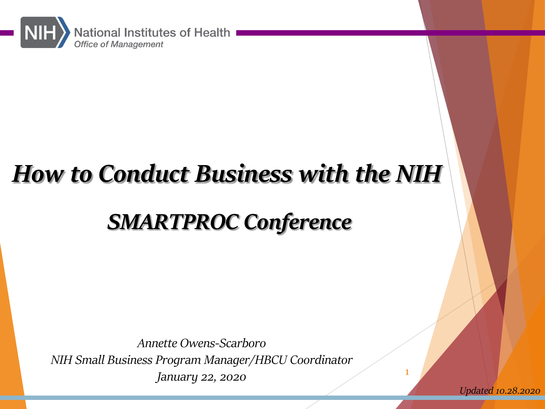

# How to Conduct Business with the NIH

## SMARTPROC Conference

Annette Owens-Scarboro NIH Small Business Program Manager/HBCU Coordinator January 22, 2020

Updated 10.28.2020

1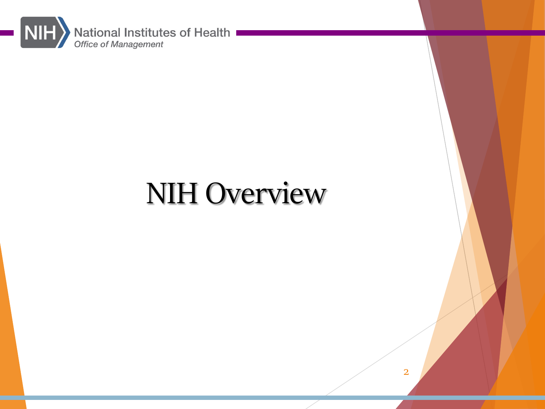

# NIH Overview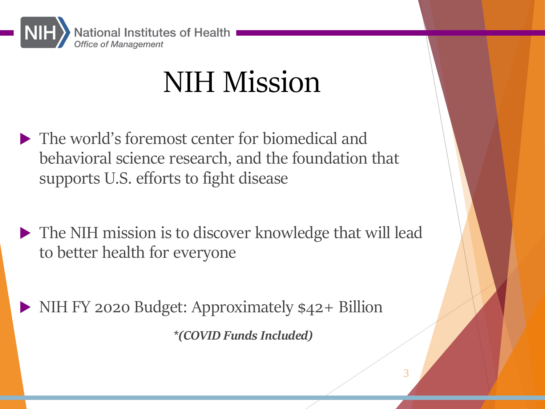

# NIH Mission

- $\blacktriangleright$  The world's foremost center for biomedical and behavioral science research, and the foundation that supports U.S. efforts to fight disease
- $\blacktriangleright$  The NIH mission is to discover knowledge that will lead to better health for everyone

3

 $\triangleright$  NIH FY 2020 Budget: Approximately  $$42+$  Billion \*(COVID Funds Included)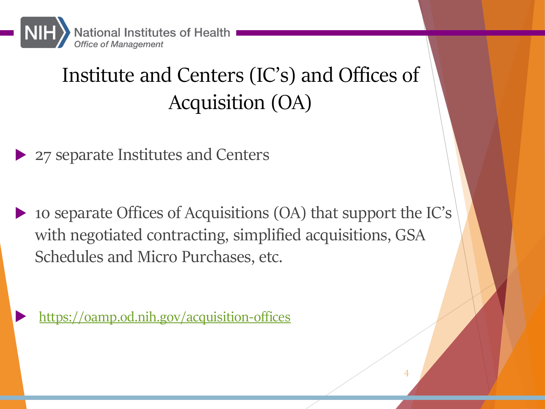

# Institute and Centers (IC's) and Offices of Acquisition (OA)

### 27 separate Institutes and Centers

u 10 separate Offices of Acquisitions (OA) that support the IC's with negotiated contracting, simplified acquisitions, GSA Schedules and Micro Purchases, etc.

https://oamp.od.nih.gov/acquisition-offices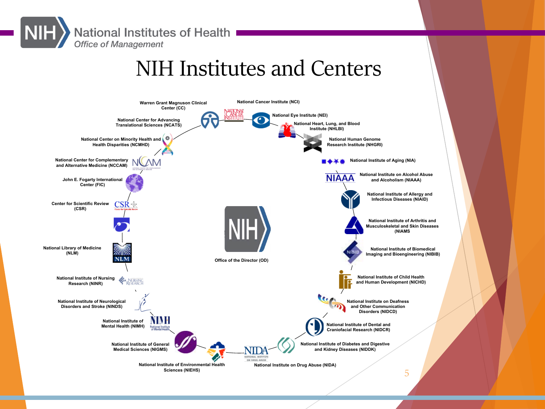**National Institutes of Health Office of Management** 

## NIH Institutes and Centers

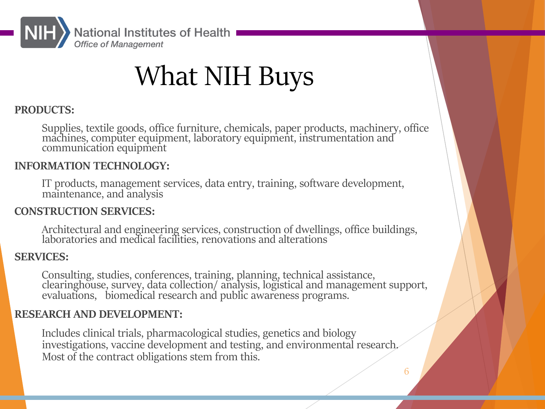

# What NIH Buys

### PRODUCTS:

Supplies, textile goods, office furniture, chemicals, paper products, machinery, office machines, computer equipment, laboratory equipment, instrumentation and communication equipment

### INFORMATION TECHNOLOGY:

IT products, management services, data entry, training, software development, maintenance, and analysis

### CONSTRUCTION SERVICES:

Architectural and engineering services, construction of dwellings, office buildings, laboratories and medical facilities, renovations and alterations

### SERVICES:

Consulting, studies, conferences, training, planning, technical assistance, clearinghouse, survey, data collection/ analysis, logistical and management support, evaluations, biomedical research and public awareness programs.

### RESEARCH AND DEVELOPMENT:

Includes clinical trials, pharmacological studies, genetics and biology investigations, vaccine development and testing, and environmental research. Most of the contract obligations stem from this.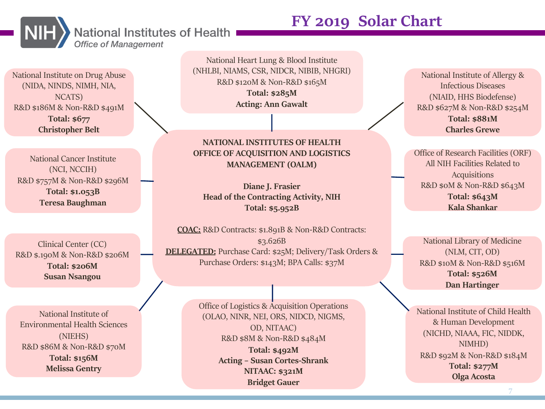### **National Institutes of Health Office of Management**



National Institute on Drug Abuse (NIDA, NINDS, NIMH, NIA, NCATS) R&D \$186M & Non-R&D \$491M Total: \$677 Christopher Belt

National Cancer Institute (NCI, NCCIH) R&D \$757M & Non-R&D \$296M Total: \$1.053B Teresa Baughman

Clinical Center (CC) R&D \$.190M & Non-R&D \$206M Total: \$206M Susan Nsangou

National Institute of Environmental Health Sciences (NIEHS) R&D \$86M & Non-R&D \$70M Total: \$156M Melissa Gentry

National Heart Lung & Blood Institute (NHLBI, NIAMS, CSR, NIDCR, NIBIB, NHGRI) R&D \$120M & Non-R&D \$165M Total: \$285M Acting: Ann Gawalt

#### NATIONAL INSTITUTES OF HEALTH OFFICE OF ACQUISITION AND LOGISTICS MANAGEMENT (OALM)

Diane J. Frasier Head of the Contracting Activity, NIH Total: \$5.952B

COAC: R&D Contracts: \$1.891B & Non-R&D Contracts: \$3.626B DELEGATED: Purchase Card: \$25M; Delivery/Task Orders & Purchase Orders: \$143M; BPA Calls: \$37M

> Office of Logistics & Acquisition Operations (OLAO, NINR, NEI, ORS, NIDCD, NIGMS, OD, NITAAC) R&D \$8M & Non-R&D \$484M Total: \$492M Acting – Susan Cortes-Shrank NITAAC: \$321M Bridget Gauer

FY 2019 Solar Chart

National Institute of Allergy & Infectious Diseases (NIAID, HHS Biodefense) R&D \$627M & Non-R&D \$254M Total: \$881M Charles Grewe

Office of Research Facilities (ORF) All NIH Facilities Related to Acquisitions R&D \$0M & Non-R&D \$643M Total: \$643M Kala Shankar

National Library of Medicine (NLM, CIT, OD) R&D \$10M & Non-R&D \$516M Total: \$526M Dan Hartinger

National Institute of Child Health & Human Development (NICHD, NIAAA, FIC, NIDDK, NIMHD) R&D \$92M & Non-R&D \$184M Total: \$277M Olga Acosta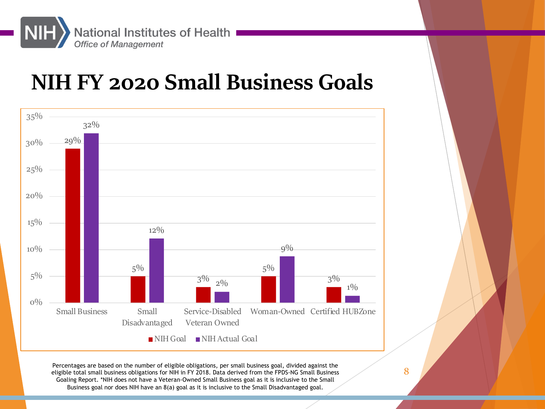

## NIH FY 2020 Small Business Goals



Percentages are based on the number of eligible obligations, per small business goal, divided against the experi<br>eligible total small business obligations for NIH in FY 2018. Data derived from the FPDS-NG Small Business Goaling Report. \*NIH does not have a Veteran-Owned Small Business goal as it is inclusive to the Small Business goal nor does NIH have an 8(a) goal as it is inclusive to the Small Disadvantaged goal.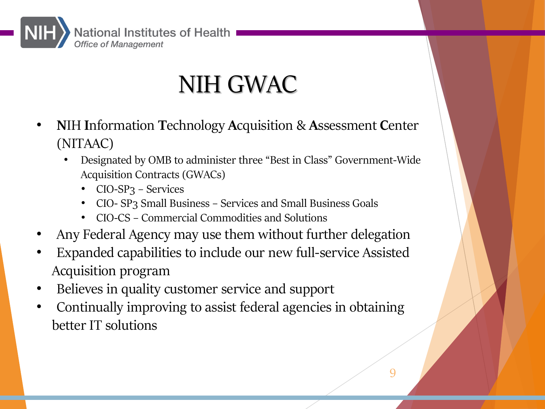

# NIH GWAC

- NIH Information Technology Acquisition & Assessment Center (NITAAC)
	- Designated by OMB to administer three "Best in Class" Government-Wide Acquisition Contracts (GWACs)
		- CIO-SP<sub>3</sub> Services
		- CIO- SP3 Small Business Services and Small Business Goals
		- CIO-CS Commercial Commodities and Solutions
- Any Federal Agency may use them without further delegation
- Expanded capabilities to include our new full-service Assisted Acquisition program
- Believes in quality customer service and support
- Continually improving to assist federal agencies in obtaining better IT solutions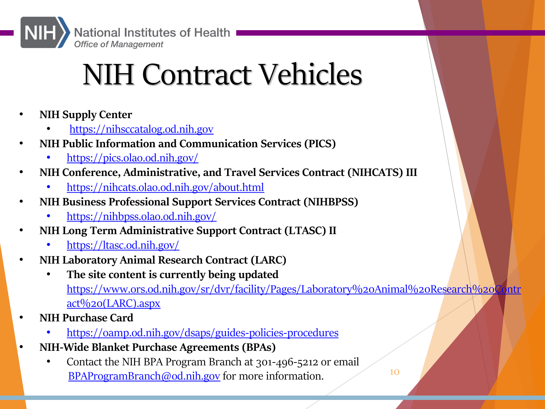

National Institutes of Health

# [NIH Con](https://ltasc.od.nih.gov/)tract Vehicles

- NIH [Supply Center](https://www.ors.od.nih.gov/sr/dvr/facility/Pages/Laboratory%20Animal%20Research%20Contract%20(LARC).aspx)
	- https://nihsccatalog.od.nih.gov
- [NIH Public Information and Communication Services \(PICS\)](https://oamp.od.nih.gov/dsaps/guides-policies-procedures)
	- https://pics.olao.od.nih.gov/
- NIH Conference, Administrative, and Travel Services Contract (NIHCATS) III
	- [https://nihcats.olao.od.nih.gov/ab](mailto:BPAProgramBranch@od.nih.gov)out.html
- NIH Business Professional Support Services Contract (NIHBPSS)
	- https://nihbpss.olao.od.nih.gov/
- NIH Long Term Administrative Support Contract (LTASC) II
	- https://ltasc.od.nih.gov/
- NIH Laboratory Animal Research Contract (LARC)
	- The site content is currently being updated https://www.ors.od.nih.gov/sr/dvr/facility/Pages/Laboratory%20Animal%20Research act%20(LARC).aspx
- NIH Purchase Card
	- https://oamp.od.nih.gov/dsaps/guides-policies-procedures
- NIH-Wide Blanket Purchase Agreements (BPAs)
	- Contact the NIH BPA Program Branch at 301-496-5212 or email BPAProgramBranch@od.nih.gov for more information.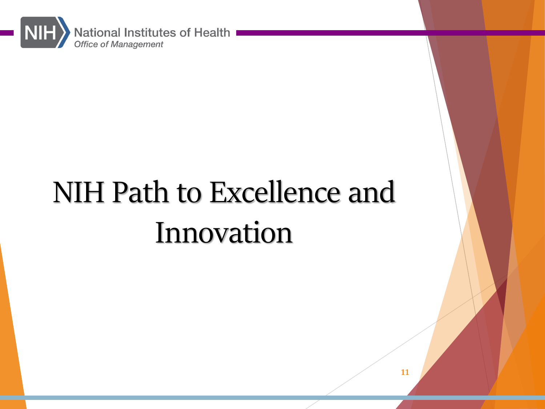

# NIH Path to Excellence and Innovation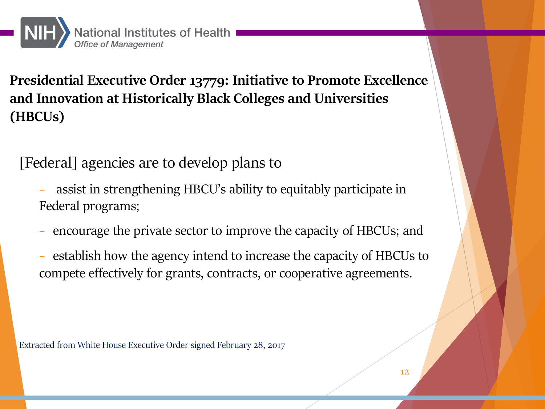

Presidential Executive Order 13779: Initiative to Promote Excellence and Innovation at Historically Black Colleges and Universities (HBCUs)

[Federal] agencies are to develop plans to

- assist in strengthening HBCU's ability to equitably participate in Federal programs;
- encourage the private sector to improve the capacity of HBCUs; and
- − establish how the agency intend to increase the capacity of HBCUs to compete effectively for grants, contracts, or cooperative agreements.

Extracted from White House Executive Order signed February 28, 2017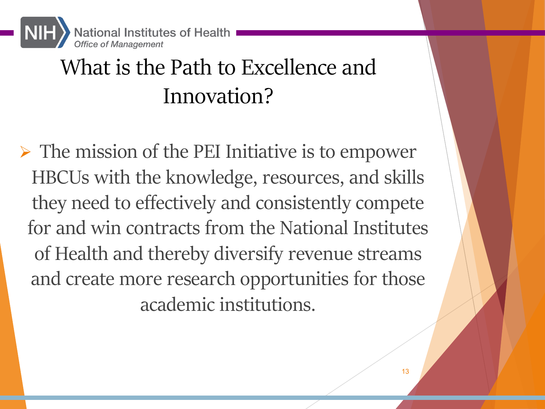

## What is the Path to Excellence and Innovation?

 $\triangleright$  The mission of the PEI Initiative is to empower HBCUs with the knowledge, resources, and skills they need to effectively and consistently compete for and win contracts from the National Institutes of Health and thereby diversify revenue streams and create more research opportunities for those academic institutions.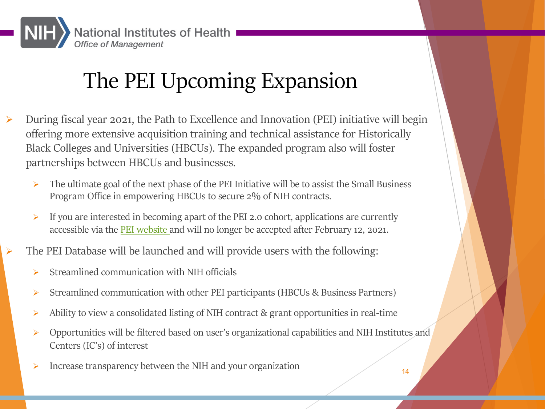

## The PEI Upcoming Expansion

- Ø During fiscal year 2021, the Path to Excellence and Innovation (PEI) initiative will begin offering more extensive acquisition training and technical assistance for Historically Black Colleges and Universities (HBCUs). The expanded program also will foster partnerships between HBCUs and businesses.
	- $\triangleright$  The ultimate goal of the next phase of the PEI Initiative will be to assist the Small Business Program Office in empowering HBCUs to secure 2% of NIH contracts.
	- $\triangleright$  If you are interested in becoming apart of the PEI 2.0 cohort, applications are currently accessible via the PEI website and will no longer be accepted after February 12, 2021.
	- The PEI Database will be launched and will provide users with the following:
		- $\triangleright$  Streamlined communication with NIH officials
		- Ø Streamlined communication with other PEI participants (HBCUs & Business Partners)
		- $\triangleright$  Ability to view a consolidated listing of NIH contract & grant opportunities in real-time
		- Ø Opportunities will be filtered based on user's organizational capabilities and NIH Institutes and Centers (IC's) of interest
		- Increase transparency between the NIH and your organization 14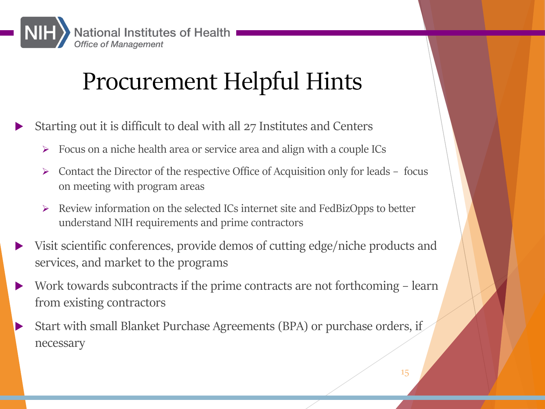

# Procurement Helpful Hints

- Starting out it is difficult to deal with all 27 Institutes and Centers
	- $\triangleright$  Focus on a niche health area or service area and align with a couple ICs
	- $\triangleright$  Contact the Director of the respective Office of Acquisition only for leads focus on meeting with program areas
	- Ø Review information on the selected ICs internet site and FedBizOpps to better understand NIH requirements and prime contractors
- Visit scientific conferences, provide demos of cutting edge/niche products and services, and market to the programs
- Work towards subcontracts if the prime contracts are not forthcoming learn from existing contractors
- Start with small Blanket Purchase Agreements (BPA) or purchase orders, if necessary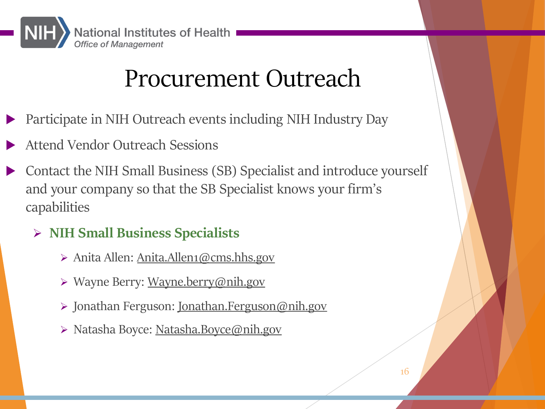

# [Pr](mailto:Anita.Allen1@cms.hhs.gov)[ocurement](mailto:Wayne.berry@nih.gov) [O](mailto:Anita.Allen1@cms.hhs.gov)utreach

- Participate in NIH Outrea[ch events including NIH Ind](mailto:Jonathan.Ferguson@nih.gov)ustry Day
- Attend Vendor Outrea[ch Sessions](mailto:Natasha.Boyce@nih.gov)
- Contact the NIH Small Business (SB) Specialist and introduce yourself and your company so that the SB Specialist knows your firm's capabilities
	- Ø NIH Small Business Specialists
		- Ø Anita Allen: Anita.Allen1@cms.hhs.gov
		- Ø Wayne Berry: Wayne.berry@nih.gov
		- Ø Jonathan Ferguson: Jonathan.Ferguson@nih.gov
		- Ø Natasha Boyce: Natasha.Boyce@nih.gov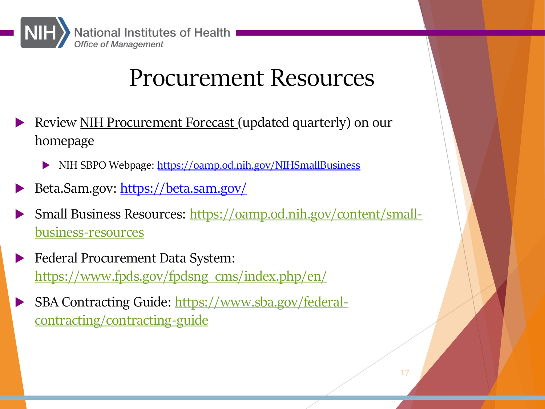

## [Procurement Resou](https://www.fpds.gov/fpdsng_cms/index.php/en/)rces

- [Review NIH Procurement Forecast \(updated quarterly\)](https://www.sba.gov/federal-contracting/contracting-guide) on our homepage
	- INIH SBPO Webpage: https://oamp.od.nih.gov/NIHSmallBusiness
- Beta.Sam.gov: https://beta.sam.gov/
- Small Business Resources: https://oamp.od.nih.gov/content/smallbusiness-resources
- **Exercice Procurement Data System:** https://www.fpds.gov/fpdsng\_cms/index.php/en/
- SBA Contracting Guide: https://www.sba.gov/federalcontracting/contracting-guide